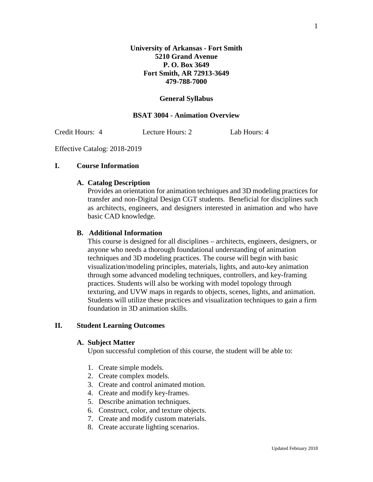#### **General Syllabus**

### **BSAT 3004 - Animation Overview**

Credit Hours: 4 Lecture Hours: 2 Lab Hours: 4

Effective Catalog: 2018-2019

### **I. Course Information**

#### **A. Catalog Description**

Provides an orientation for animation techniques and 3D modeling practices for transfer and non-Digital Design CGT students. Beneficial for disciplines such as architects, engineers, and designers interested in animation and who have basic CAD knowledge.

#### **B. Additional Information**

This course is designed for all disciplines – architects, engineers, designers, or anyone who needs a thorough foundational understanding of animation techniques and 3D modeling practices. The course will begin with basic visualization/modeling principles, materials, lights, and auto-key animation through some advanced modeling techniques, controllers, and key-framing practices. Students will also be working with model topology through texturing, and UVW maps in regards to objects, scenes, lights, and animation. Students will utilize these practices and visualization techniques to gain a firm foundation in 3D animation skills.

# **II. Student Learning Outcomes**

#### **A. Subject Matter**

Upon successful completion of this course, the student will be able to:

- 1. Create simple models.
- 2. Create complex models.
- 3. Create and control animated motion.
- 4. Create and modify key-frames.
- 5. Describe animation techniques.
- 6. Construct, color, and texture objects.
- 7. Create and modify custom materials.
- 8. Create accurate lighting scenarios.